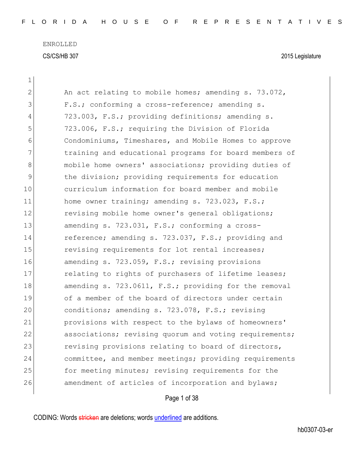| $\mathbf 1$   |                                                        |
|---------------|--------------------------------------------------------|
| $\mathbf{2}$  | An act relating to mobile homes; amending s. 73.072,   |
| 3             | F.S.; conforming a cross-reference; amending s.        |
| 4             | 723.003, F.S.; providing definitions; amending s.      |
| 5             | 723.006, F.S.; requiring the Division of Florida       |
| 6             | Condominiums, Timeshares, and Mobile Homes to approve  |
| 7             | training and educational programs for board members of |
| 8             | mobile home owners' associations; providing duties of  |
| $\mathcal{G}$ | the division; providing requirements for education     |
| 10            | curriculum information for board member and mobile     |
| 11            | home owner training; amending s. 723.023, F.S.;        |
| 12            | revising mobile home owner's general obligations;      |
| 13            | amending s. 723.031, F.S.; conforming a cross-         |
| 14            | reference; amending s. 723.037, F.S.; providing and    |
| 15            | revising requirements for lot rental increases;        |
| 16            | amending s. 723.059, F.S.; revising provisions         |
| 17            | relating to rights of purchasers of lifetime leases;   |
| 18            | amending s. 723.0611, F.S.; providing for the removal  |
| 19            | of a member of the board of directors under certain    |
| 20            | conditions; amending s. 723.078, F.S.; revising        |
| 21            | provisions with respect to the bylaws of homeowners'   |
| 22            | associations; revising quorum and voting requirements; |
| 23            | revising provisions relating to board of directors,    |
| 24            | committee, and member meetings; providing requirements |
| 25            | for meeting minutes; revising requirements for the     |
| 26            | amendment of articles of incorporation and bylaws;     |
|               |                                                        |

Page 1 of 38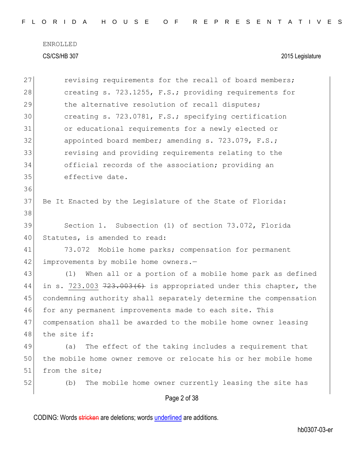|  |  |  |  |  |  |  |  | FLORIDA HOUSE OF REPRESENTATIVES |  |  |  |  |  |  |  |  |  |  |  |  |  |  |  |  |  |  |  |  |  |  |  |  |  |  |
|--|--|--|--|--|--|--|--|----------------------------------|--|--|--|--|--|--|--|--|--|--|--|--|--|--|--|--|--|--|--|--|--|--|--|--|--|--|
|--|--|--|--|--|--|--|--|----------------------------------|--|--|--|--|--|--|--|--|--|--|--|--|--|--|--|--|--|--|--|--|--|--|--|--|--|--|

| 27 | revising requirements for the recall of board members;             |
|----|--------------------------------------------------------------------|
| 28 | creating s. 723.1255, F.S.; providing requirements for             |
| 29 | the alternative resolution of recall disputes;                     |
| 30 | creating s. 723.0781, F.S.; specifying certification               |
| 31 | or educational requirements for a newly elected or                 |
| 32 | appointed board member; amending s. 723.079, F.S.;                 |
| 33 | revising and providing requirements relating to the                |
| 34 | official records of the association; providing an                  |
| 35 | effective date.                                                    |
| 36 |                                                                    |
| 37 | Be It Enacted by the Legislature of the State of Florida:          |
| 38 |                                                                    |
| 39 | Section 1. Subsection (1) of section 73.072, Florida               |
| 40 | Statutes, is amended to read:                                      |
| 41 | 73.072 Mobile home parks; compensation for permanent               |
| 42 | improvements by mobile home owners.-                               |
| 43 | When all or a portion of a mobile home park as defined<br>(1)      |
| 44 | in s. 723.003 $723.003(6)$ is appropriated under this chapter, the |
| 45 | condemning authority shall separately determine the compensation   |
| 46 | for any permanent improvements made to each site. This             |
| 47 | compensation shall be awarded to the mobile home owner leasing     |
| 48 | the site if:                                                       |
| 49 | The effect of the taking includes a requirement that<br>(a)        |
| 50 | the mobile home owner remove or relocate his or her mobile home    |
| 51 | from the site;                                                     |
| 52 | The mobile home owner currently leasing the site has<br>(b)        |
|    | Page 2 of 38                                                       |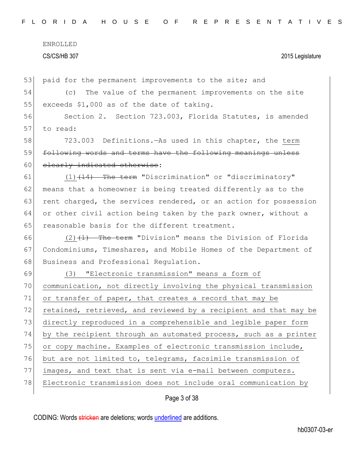57

| 53 | paid for the permanent improvements to the site; and             |
|----|------------------------------------------------------------------|
| 54 | (c) The value of the permanent improvements on the site          |
| 55 | exceeds \$1,000 as of the date of taking.                        |
| 56 | Section 2. Section 723.003, Florida Statutes, is amended         |
| 57 | to read:                                                         |
| 58 | 723.003 Definitions. As used in this chapter, the term           |
| 59 | following words and terms have the following meanings unless     |
| 60 | elearly indicated otherwise:                                     |
| 61 | $(1)$ $(14)$ The term "Discrimination" or "discriminatory"       |
| 62 | means that a homeowner is being treated differently as to the    |
| 63 | rent charged, the services rendered, or an action for possession |
| 64 | or other civil action being taken by the park owner, without a   |
| 65 | reasonable basis for the different treatment.                    |
| 66 | $(2)$ $(1)$ The term "Division" means the Division of Florida    |
| 67 | Condominiums, Timeshares, and Mobile Homes of the Department of  |
| 68 | Business and Professional Regulation.                            |
| 69 | "Electronic transmission" means a form of<br>(3)                 |
| 70 | communication, not directly involving the physical transmission  |
| 71 | or transfer of paper, that creates a record that may be          |
| 72 | retained, retrieved, and reviewed by a recipient and that may be |
| 73 | directly reproduced in a comprehensible and legible paper form   |
| 74 | by the recipient through an automated process, such as a printer |
| 75 | or copy machine. Examples of electronic transmission include,    |
| 76 | but are not limited to, telegrams, facsimile transmission of     |
| 77 | images, and text that is sent via e-mail between computers.      |
| 78 | Electronic transmission does not include oral communication by   |
|    |                                                                  |

Page 3 of 38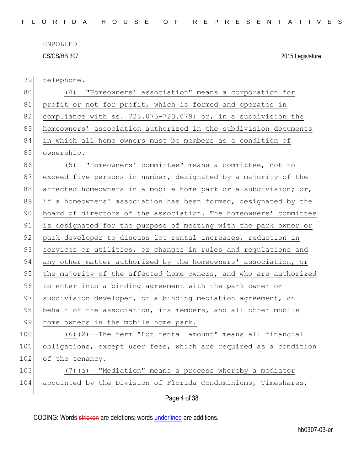79 telephone.

80 (4) "Homeowners' association" means a corporation for 81 profit or not for profit, which is formed and operates in 82 compliance with ss. 723.075-723.079; or, in a subdivision the 83 homeowners' association authorized in the subdivision documents 84 in which all home owners must be members as a condition of 85 ownership. 86 (5) "Homeowners' committee" means a committee, not to 87 exceed five persons in number, designated by a majority of the 88 affected homeowners in a mobile home park or a subdivision; or, 89 if a homeowners' association has been formed, designated by the 90 board of directors of the association. The homeowners' committee 91 is designated for the purpose of meeting with the park owner or 92 park developer to discuss lot rental increases, reduction in 93 services or utilities, or changes in rules and regulations and 94 any other matter authorized by the homeowners' association, or 95 the majority of the affected home owners, and who are authorized 96 to enter into a binding agreement with the park owner or 97 subdivision developer, or a binding mediation agreement, on 98 behalf of the association, its members, and all other mobile 99 home owners in the mobile home park. 100  $(6)$   $(2)$  The term "Lot rental amount" means all financial 101 obligations, except user fees, which are required as a condition 102 of the tenancy.

## 103 (7)(a) "Mediation" means a process whereby a mediator 104 appointed by the Division of Florida Condominiums, Timeshares,

Page 4 of 38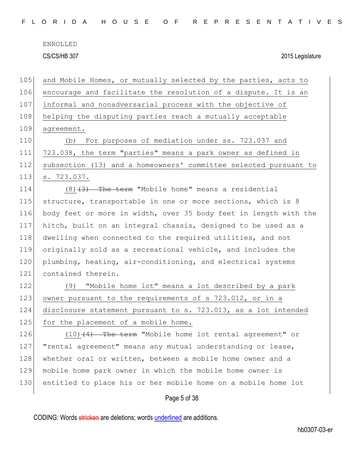| FLORIDA HOUSE OF REPRESENTATIVES |  |  |  |  |  |  |  |  |
|----------------------------------|--|--|--|--|--|--|--|--|
|----------------------------------|--|--|--|--|--|--|--|--|

ENROLLED

CS/CS/HB 307 2015 Legislature

Page 5 of 38 105 and Mobile Homes, or mutually selected by the parties, acts to 106 encourage and facilitate the resolution of a dispute. It is an 107 informal and nonadversarial process with the objective of 108 helping the disputing parties reach a mutually acceptable 109 agreement. 110 (b) For purposes of mediation under ss. 723.037 and 111 723.038, the term "parties" means a park owner as defined in 112 subsection (13) and a homeowners' committee selected pursuant to 113 s. 723.037. 114  $(8)$   $(3)$  The term "Mobile home" means a residential 115 structure, transportable in one or more sections, which is 8 116 body feet or more in width, over 35 body feet in length with the 117 hitch, built on an integral chassis, designed to be used as a 118 dwelling when connected to the required utilities, and not 119 originally sold as a recreational vehicle, and includes the 120 plumbing, heating, air-conditioning, and electrical systems 121 contained therein. 122 (9) "Mobile home lot" means a lot described by a park 123 owner pursuant to the requirements of s 723.012, or in a 124 disclosure statement pursuant to s. 723.013, as a lot intended 125 for the placement of a mobile home. 126  $(10)$   $(4)$  The term "Mobile home lot rental agreement" or 127 | "rental agreement" means any mutual understanding or lease, 128 whether oral or written, between a mobile home owner and a 129 mobile home park owner in which the mobile home owner is 130 entitled to place his or her mobile home on a mobile home lot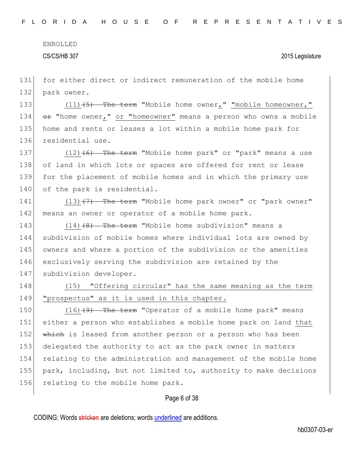131 for either direct or indirect remuneration of the mobile home 132 park owner.

133 (11)<del>(5) The term</del> "Mobile home owner," "mobile homeowner," 134  $\leftrightarrow$  "home owner," or "homeowner" means a person who owns a mobile 135 home and rents or leases a lot within a mobile home park for 136 residential use.

137 (12)<del>(6) The term</del> "Mobile home park" or "park" means a use 138 of land in which lots or spaces are offered for rent or lease 139 for the placement of mobile homes and in which the primary use 140 of the park is residential.

141 (13)<del>(7) The term</del> "Mobile home park owner" or "park owner" 142 means an owner or operator of a mobile home park.

143 (14)<del>(8) The term</del> "Mobile home subdivision" means a 144 subdivision of mobile homes where individual lots are owned by 145 owners and where a portion of the subdivision or the amenities 146 exclusively serving the subdivision are retained by the 147 subdivision developer.

148 (15) "Offering circular" has the same meaning as the term 149 "prospectus" as it is used in this chapter.

150 (16)<del>(9) The term</del> "Operator of a mobile home park" means 151 either a person who establishes a mobile home park on land that 152 which is leased from another person or a person who has been 153 delegated the authority to act as the park owner in matters 154 relating to the administration and management of the mobile home 155 park, including, but not limited to, authority to make decisions 156 relating to the mobile home park.

#### Page 6 of 38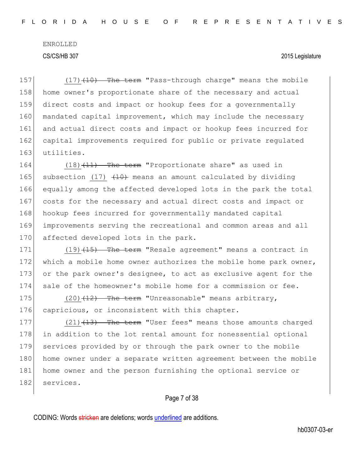157 (17)<del>(10) The term</del> "Pass-through charge" means the mobile 158 home owner's proportionate share of the necessary and actual 159 direct costs and impact or hookup fees for a governmentally 160 mandated capital improvement, which may include the necessary 161 and actual direct costs and impact or hookup fees incurred for 162 capital improvements required for public or private requlated 163 utilities.

164 (18)<del>(11) The term</del> "Proportionate share" as used in 165 subsection (17)  $(10)$  means an amount calculated by dividing 166 equally among the affected developed lots in the park the total 167 costs for the necessary and actual direct costs and impact or 168 hookup fees incurred for governmentally mandated capital 169 improvements serving the recreational and common areas and all 170 affected developed lots in the park.

171 (19)<del>(15) The term</del> "Resale agreement" means a contract in 172 which a mobile home owner authorizes the mobile home park owner, 173 or the park owner's designee, to act as exclusive agent for the 174 sale of the homeowner's mobile home for a commission or fee.

175  $(20)$   $\overline{12}$  The term "Unreasonable" means arbitrary, 176 capricious, or inconsistent with this chapter.

177 (21)<del>(13) The term</del> "User fees" means those amounts charged 178 in addition to the lot rental amount for nonessential optional 179 services provided by or through the park owner to the mobile 180 home owner under a separate written agreement between the mobile 181 home owner and the person furnishing the optional service or 182 services.

### Page 7 of 38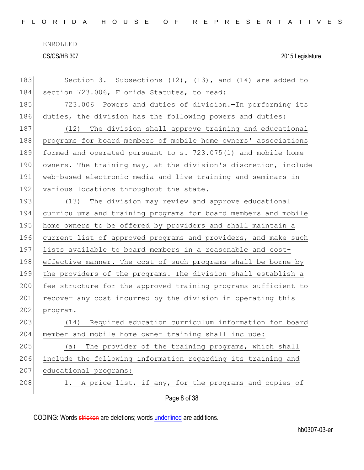| 183 | Section 3. Subsections $(12)$ , $(13)$ , and $(14)$ are added to |
|-----|------------------------------------------------------------------|
| 184 | section 723.006, Florida Statutes, to read:                      |
| 185 | 723.006 Powers and duties of division. In performing its         |
| 186 | duties, the division has the following powers and duties:        |
| 187 | (12) The division shall approve training and educational         |
| 188 | programs for board members of mobile home owners' associations   |
| 189 | formed and operated pursuant to s. 723.075(1) and mobile home    |
| 190 | owners. The training may, at the division's discretion, include  |
| 191 | web-based electronic media and live training and seminars in     |
| 192 | various locations throughout the state.                          |
| 193 | (13) The division may review and approve educational             |
| 194 | curriculums and training programs for board members and mobile   |
| 195 | home owners to be offered by providers and shall maintain a      |
| 196 | current list of approved programs and providers, and make such   |
| 197 | lists available to board members in a reasonable and cost-       |
| 198 | effective manner. The cost of such programs shall be borne by    |
| 199 | the providers of the programs. The division shall establish a    |
| 200 | fee structure for the approved training programs sufficient to   |
| 201 | recover any cost incurred by the division in operating this      |
| 202 | program.                                                         |
| 203 | Required education curriculum information for board<br>(14)      |
| 204 | member and mobile home owner training shall include:             |
| 205 | The provider of the training programs, which shall<br>(a)        |
| 206 | include the following information regarding its training and     |
| 207 | educational programs:                                            |
| 208 | A price list, if any, for the programs and copies of<br>1.       |
|     | Page 8 of 38                                                     |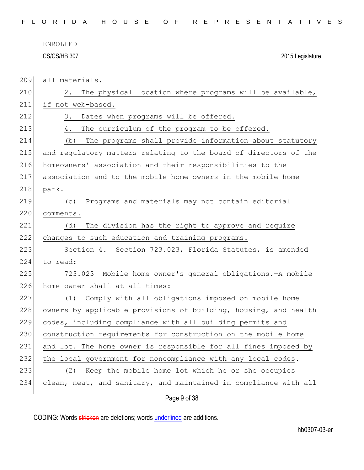| FLORIDA HOUSE OF REPRESENTATIVES |  |
|----------------------------------|--|
|----------------------------------|--|

all materials.

| 210 | The physical location where programs will be available,<br>2.    |
|-----|------------------------------------------------------------------|
| 211 | if not web-based.                                                |
| 212 | 3.<br>Dates when programs will be offered.                       |
| 213 | The curriculum of the program to be offered.<br>4.               |
| 214 | The programs shall provide information about statutory<br>(b)    |
| 215 | and regulatory matters relating to the board of directors of the |
| 216 | homeowners' association and their responsibilities to the        |
| 217 | association and to the mobile home owners in the mobile home     |
| 218 | park.                                                            |
| 219 | Programs and materials may not contain editorial<br>(C)          |
| 220 | comments.                                                        |
| 221 | The division has the right to approve and require<br>(d)         |
| 222 | changes to such education and training programs.                 |
| 223 | Section 4. Section 723.023, Florida Statutes, is amended         |
| 224 | to read:                                                         |
| 225 | 723.023 Mobile home owner's general obligations. - A mobile      |
| 226 | home owner shall at all times:                                   |
| 227 | Comply with all obligations imposed on mobile home<br>(1)        |
| 228 | owners by applicable provisions of building, housing, and health |
| 229 | codes, including compliance with all building permits and        |
| 230 | construction requirements for construction on the mobile home    |
| 231 | and lot. The home owner is responsible for all fines imposed by  |
| 232 | the local government for noncompliance with any local codes.     |
| 233 | Keep the mobile home lot which he or she occupies<br>(2)         |
| 234 | clean, neat, and sanitary, and maintained in compliance with all |
|     | Page 9 of 38                                                     |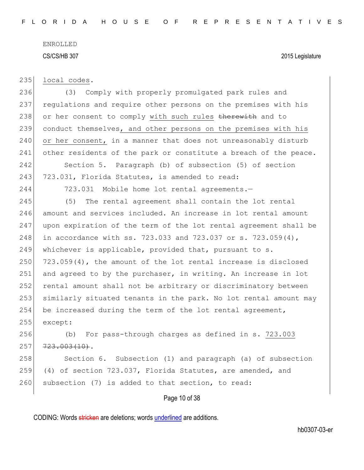235 local codes.

236 (3) Comply with properly promulgated park rules and 237 regulations and require other persons on the premises with his 238 or her consent to comply with such rules therewith and to 239 conduct themselves, and other persons on the premises with his 240 or her consent, in a manner that does not unreasonably disturb 241 other residents of the park or constitute a breach of the peace.

242 Section 5. Paragraph (b) of subsection (5) of section 243 723.031, Florida Statutes, is amended to read:

244 723.031 Mobile home lot rental agreements.—

 (5) The rental agreement shall contain the lot rental amount and services included. An increase in lot rental amount upon expiration of the term of the lot rental agreement shall be 248 in accordance with ss. 723.033 and 723.037 or s. 723.059(4), whichever is applicable, provided that, pursuant to s.  $723.059(4)$ , the amount of the lot rental increase is disclosed 251 and agreed to by the purchaser, in writing. An increase in lot rental amount shall not be arbitrary or discriminatory between similarly situated tenants in the park. No lot rental amount may 254 be increased during the term of the lot rental agreement, 255 except:

256 (b) For pass-through charges as defined in s. 723.003  $257$   $723.003(10)$ .

258 Section 6. Subsection (1) and paragraph (a) of subsection 259 (4) of section 723.037, Florida Statutes, are amended, and 260 subsection (7) is added to that section, to read:

### Page 10 of 38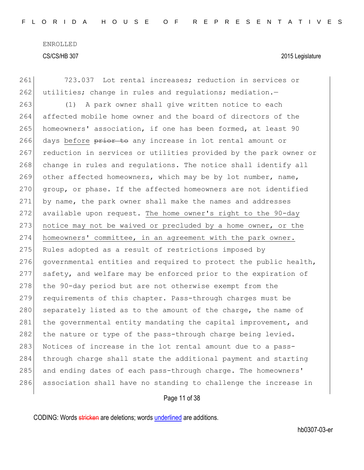261 723.037 Lot rental increases; reduction in services or  $262$  utilities; change in rules and regulations; mediation. 263 (1) A park owner shall give written notice to each 264 affected mobile home owner and the board of directors of the 265 homeowners' association, if one has been formed, at least 90 266 days before prior to any increase in lot rental amount or 267 reduction in services or utilities provided by the park owner or 268 change in rules and regulations. The notice shall identify all 269 other affected homeowners, which may be by lot number, name, 270 group, or phase. If the affected homeowners are not identified 271 by name, the park owner shall make the names and addresses 272 available upon request. The home owner's right to the 90-day 273 notice may not be waived or precluded by a home owner, or the 274 homeowners' committee, in an agreement with the park owner. 275 Rules adopted as a result of restrictions imposed by 276 governmental entities and required to protect the public health, 277 safety, and welfare may be enforced prior to the expiration of 278 the 90-day period but are not otherwise exempt from the 279 requirements of this chapter. Pass-through charges must be 280 separately listed as to the amount of the charge, the name of 281 the governmental entity mandating the capital improvement, and 282 the nature or type of the pass-through charge being levied. 283 Notices of increase in the lot rental amount due to a pass-284 through charge shall state the additional payment and starting 285 and ending dates of each pass-through charge. The homeowners' 286 association shall have no standing to challenge the increase in

### Page 11 of 38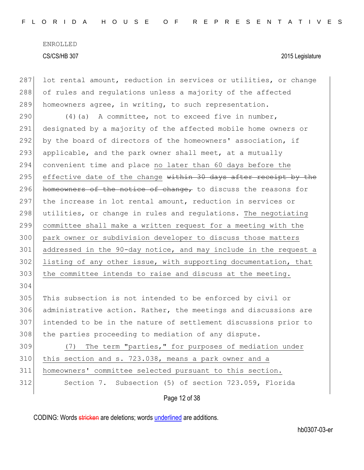287 lot rental amount, reduction in services or utilities, or change 288 of rules and regulations unless a majority of the affected 289 homeowners agree, in writing, to such representation.

 $(4)(a)$  A committee, not to exceed five in number, designated by a majority of the affected mobile home owners or by the board of directors of the homeowners' association, if 293 applicable, and the park owner shall meet, at a mutually convenient time and place no later than 60 days before the 295 effective date of the change within 30 days after receipt by the 296 homeowners of the notice of change, to discuss the reasons for the increase in lot rental amount, reduction in services or 298 utilities, or change in rules and regulations. The negotiating committee shall make a written request for a meeting with the park owner or subdivision developer to discuss those matters addressed in the 90-day notice, and may include in the request a listing of any other issue, with supporting documentation, that 303 the committee intends to raise and discuss at the meeting. 304 This subsection is not intended to be enforced by civil or

306 administrative action. Rather, the meetings and discussions are 307 intended to be in the nature of settlement discussions prior to 308 the parties proceeding to mediation of any dispute.

309 (7) The term "parties," for purposes of mediation under this section and s. 723.038, means a park owner and a homeowners' committee selected pursuant to this section. Section 7. Subsection (5) of section 723.059, Florida

Page 12 of 38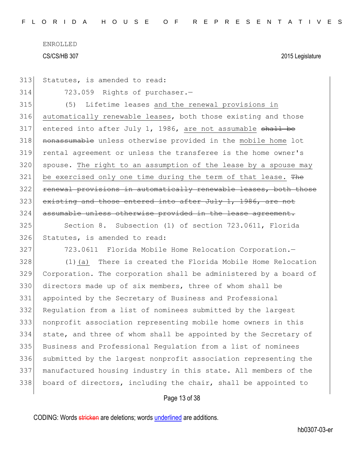|  | 313 Statutes, is amended to read: |  |  |  |  |
|--|-----------------------------------|--|--|--|--|
|--|-----------------------------------|--|--|--|--|

314 723.059 Rights of purchaser.—

315 (5) Lifetime leases and the renewal provisions in 316 automatically renewable leases, both those existing and those 317 entered into after July 1, 1986, are not assumable shall be 318 nonassumable unless otherwise provided in the mobile home lot 319 rental agreement or unless the transferee is the home owner's 320 spouse. The right to an assumption of the lease by a spouse may  $321$  be exercised only one time during the term of that lease. The 322 renewal provisions in automatically renewable leases, both those  $323$  existing and those entered into after July 1, 1986, are not 324 assumable unless otherwise provided in the lease agreement.

325 Section 8. Subsection (1) of section 723.0611, Florida 326 Statutes, is amended to read:

327 723.0611 Florida Mobile Home Relocation Corporation.

 (1)(a) There is created the Florida Mobile Home Relocation Corporation. The corporation shall be administered by a board of directors made up of six members, three of whom shall be appointed by the Secretary of Business and Professional Regulation from a list of nominees submitted by the largest nonprofit association representing mobile home owners in this state, and three of whom shall be appointed by the Secretary of Business and Professional Regulation from a list of nominees submitted by the largest nonprofit association representing the manufactured housing industry in this state. All members of the board of directors, including the chair, shall be appointed to

### Page 13 of 38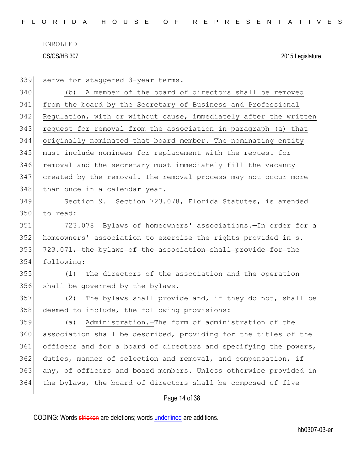| 339 | serve for staggered 3-year terms.                                |
|-----|------------------------------------------------------------------|
| 340 | A member of the board of directors shall be removed<br>(b)       |
| 341 | from the board by the Secretary of Business and Professional     |
| 342 | Regulation, with or without cause, immediately after the written |
| 343 | request for removal from the association in paragraph (a) that   |
| 344 | originally nominated that board member. The nominating entity    |
| 345 | must include nominees for replacement with the request for       |
| 346 | removal and the secretary must immediately fill the vacancy      |
| 347 | created by the removal. The removal process may not occur more   |
| 348 | than once in a calendar year.                                    |
| 349 | Section 9. Section 723.078, Florida Statutes, is amended         |
| 350 | to read:                                                         |
| 351 | 723.078 Bylaws of homeowners' associations. The order for a      |
| 352 | homeowners' association to exercise the rights provided in s.    |
| 353 | 723.071, the bylaws of the association shall provide for the     |
| 354 | following:                                                       |
| 355 | The directors of the association and the operation<br>(1)        |
| 356 | shall be governed by the bylaws.                                 |
| 357 | The bylaws shall provide and, if they do not, shall be<br>(2)    |
| 358 | deemed to include, the following provisions:                     |
| 359 | Administration. - The form of administration of the<br>(a)       |
| 360 | association shall be described, providing for the titles of the  |
| 361 | officers and for a board of directors and specifying the powers, |
| 362 | duties, manner of selection and removal, and compensation, if    |
| 363 | any, of officers and board members. Unless otherwise provided in |
| 364 | the bylaws, the board of directors shall be composed of five     |
|     | Page 14 of 38                                                    |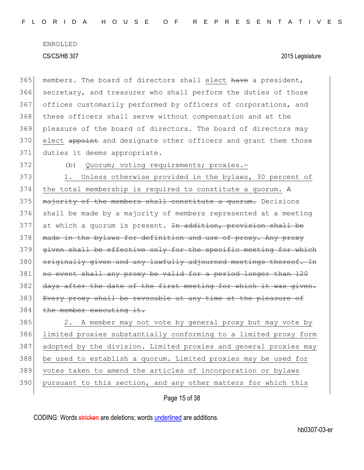365 members. The board of directors shall elect have a president, 366 secretary, and treasurer who shall perform the duties of those 367 offices customarily performed by officers of corporations, and 368 these officers shall serve without compensation and at the 369 pleasure of the board of directors. The board of directors may 370 elect appoint and designate other officers and grant them those 371 duties it deems appropriate.

372 (b) Quorum; voting requirements; proxies.-

373 1. Unless otherwise provided in the bylaws, 30 percent of  $374$  the total membership is required to constitute a quorum. A 375 majority of the members shall constitute a quorum. Decisions 376 shall be made by a majority of members represented at a meeting  $377$  at which a quorum is present. In addition, provision shall be 378 made in the bylaws for definition and use of proxy. Any proxy 379 given shall be effective only for the specific meeting for which 380 originally given and any lawfully adjourned meetings thereof. In 381 no event shall any proxy be valid for a period longer than 120 382 days after the date of the first meeting for which it was given. 383 Every proxy shall be revocable at any time at the pleasure of 384 the member executing it.

385 2. A member may not vote by general proxy but may vote by 386 limited proxies substantially conforming to a limited proxy form 387 adopted by the division. Limited proxies and general proxies may 388 be used to establish a quorum. Limited proxies may be used for 389 votes taken to amend the articles of incorporation or bylaws 390 pursuant to this section, and any other matters for which this

Page 15 of 38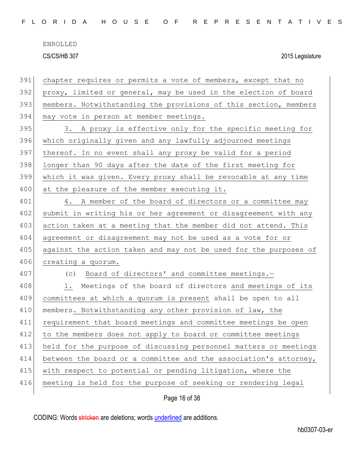|  |  |  |  |  |  | FLORIDA HOUSE OF REPRESENTATIVES |  |  |  |  |  |  |  |  |  |  |
|--|--|--|--|--|--|----------------------------------|--|--|--|--|--|--|--|--|--|--|
|  |  |  |  |  |  |                                  |  |  |  |  |  |  |  |  |  |  |

| 391 | chapter requires or permits a vote of members, except that no    |
|-----|------------------------------------------------------------------|
| 392 | proxy, limited or general, may be used in the election of board  |
| 393 | members. Notwithstanding the provisions of this section, members |
| 394 | may vote in person at member meetings.                           |
| 395 | A proxy is effective only for the specific meeting for<br>3.     |
| 396 | which originally given and any lawfully adjourned meetings       |
| 397 | thereof. In no event shall any proxy be valid for a period       |
| 398 | longer than 90 days after the date of the first meeting for      |
| 399 | which it was given. Every proxy shall be revocable at any time   |
| 400 | at the pleasure of the member executing it.                      |
| 401 | 4. A member of the board of directors or a committee may         |
| 402 | submit in writing his or her agreement or disagreement with any  |
| 403 | action taken at a meeting that the member did not attend. This   |
| 404 | agreement or disagreement may not be used as a vote for or       |
| 405 | against the action taken and may not be used for the purposes of |
| 406 | creating a quorum.                                               |
| 407 | (c) Board of directors' and committee meetings.-                 |
| 408 | Meetings of the board of directors and meetings of its<br>1.     |
| 409 | committees at which a quorum is present shall be open to all     |
| 410 | members. Notwithstanding any other provision of law, the         |
| 411 | requirement that board meetings and committee meetings be open   |
| 412 | to the members does not apply to board or committee meetings     |
| 413 | held for the purpose of discussing personnel matters or meetings |
| 414 | between the board or a committee and the association's attorney, |
| 415 | with respect to potential or pending litigation, where the       |
| 416 | meeting is held for the purpose of seeking or rendering legal    |
|     | Page 16 of 38                                                    |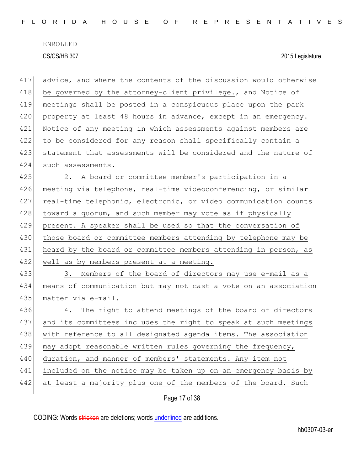| 417 | advice, and where the contents of the discussion would otherwise   |
|-----|--------------------------------------------------------------------|
| 418 | be governed by the attorney-client privilege. $\tau$ and Notice of |
| 419 | meetings shall be posted in a conspicuous place upon the park      |
| 420 | property at least 48 hours in advance, except in an emergency.     |
| 421 | Notice of any meeting in which assessments against members are     |
| 422 | to be considered for any reason shall specifically contain a       |
| 423 | statement that assessments will be considered and the nature of    |
| 424 | such assessments.                                                  |
| 425 | 2. A board or committee member's participation in a                |
| 426 | meeting via telephone, real-time videoconferencing, or similar     |
| 427 | real-time telephonic, electronic, or video communication counts    |
| 428 | toward a quorum, and such member may vote as if physically         |
| 429 | present. A speaker shall be used so that the conversation of       |
| 430 | those board or committee members attending by telephone may be     |
| 431 | heard by the board or committee members attending in person, as    |
| 432 | well as by members present at a meeting.                           |
| 433 | 3. Members of the board of directors may use e-mail as a           |
| 434 | means of communication but may not cast a vote on an association   |
| 435 | matter via e-mail.                                                 |
| 436 | The right to attend meetings of the board of directors<br>4.       |
| 437 | and its committees includes the right to speak at such meetings    |
| 438 | with reference to all designated agenda items. The association     |
| 439 | may adopt reasonable written rules governing the frequency,        |
| 440 | duration, and manner of members' statements. Any item not          |
| 441 | included on the notice may be taken up on an emergency basis by    |
| 442 | at least a majority plus one of the members of the board. Such     |
|     | Page 17 of 38                                                      |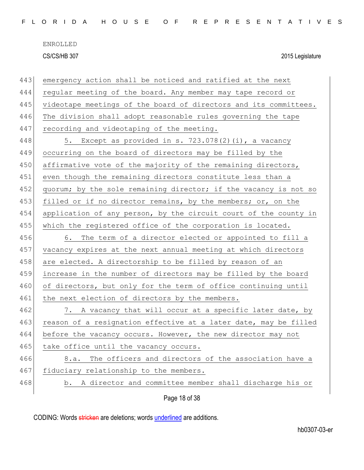| 443 | emergency action shall be noticed and ratified at the next       |
|-----|------------------------------------------------------------------|
| 444 | regular meeting of the board. Any member may tape record or      |
| 445 | videotape meetings of the board of directors and its committees. |
| 446 | The division shall adopt reasonable rules governing the tape     |
| 447 | recording and videotaping of the meeting.                        |
| 448 | 5. Except as provided in s. 723.078(2)(i), a vacancy             |
| 449 | occurring on the board of directors may be filled by the         |
| 450 | affirmative vote of the majority of the remaining directors,     |
| 451 | even though the remaining directors constitute less than a       |
| 452 | quorum; by the sole remaining director; if the vacancy is not so |
| 453 | filled or if no director remains, by the members; or, on the     |
| 454 | application of any person, by the circuit court of the county in |
| 455 | which the registered office of the corporation is located.       |
| 456 | 6. The term of a director elected or appointed to fill a         |
| 457 | vacancy expires at the next annual meeting at which directors    |
| 458 | are elected. A directorship to be filled by reason of an         |
| 459 | increase in the number of directors may be filled by the board   |
| 460 | of directors, but only for the term of office continuing until   |
| 461 | the next election of directors by the members.                   |
| 462 | 7. A vacancy that will occur at a specific later date, by        |
| 463 | reason of a resignation effective at a later date, may be filled |
| 464 | before the vacancy occurs. However, the new director may not     |
| 465 | take office until the vacancy occurs.                            |
| 466 | The officers and directors of the association have a<br>8.a.     |
| 467 | fiduciary relationship to the members.                           |
| 468 | A director and committee member shall discharge his or<br>b.     |
|     | Page 18 of 38                                                    |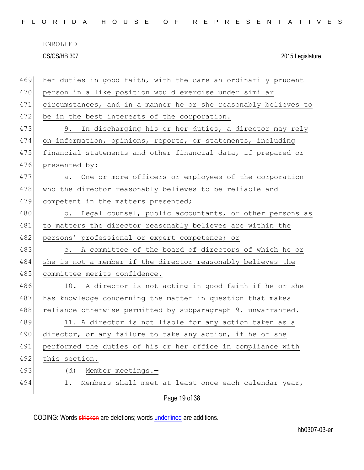|  |  |  |  |  |  | FLORIDA HOUSE OF REPRESENTATIVES |  |  |  |  |  |  |  |  |  |  |  |
|--|--|--|--|--|--|----------------------------------|--|--|--|--|--|--|--|--|--|--|--|
|  |  |  |  |  |  |                                  |  |  |  |  |  |  |  |  |  |  |  |

| 469 | her duties in good faith, with the care an ordinarily prudent   |
|-----|-----------------------------------------------------------------|
| 470 | person in a like position would exercise under similar          |
| 471 | circumstances, and in a manner he or she reasonably believes to |
| 472 | be in the best interests of the corporation.                    |
| 473 | In discharging his or her duties, a director may rely<br>9.     |
| 474 | on information, opinions, reports, or statements, including     |
| 475 | financial statements and other financial data, if prepared or   |
| 476 | presented by:                                                   |
| 477 | a. One or more officers or employees of the corporation         |
| 478 | who the director reasonably believes to be reliable and         |
| 479 | competent in the matters presented;                             |
| 480 | b. Legal counsel, public accountants, or other persons as       |
| 481 | to matters the director reasonably believes are within the      |
| 482 | persons' professional or expert competence; or                  |
| 483 | c. A committee of the board of directors of which he or         |
| 484 | she is not a member if the director reasonably believes the     |
| 485 | committee merits confidence.                                    |
| 486 | 10. A director is not acting in good faith if he or she         |
| 487 | has knowledge concerning the matter in question that makes      |
| 488 | reliance otherwise permitted by subparagraph 9. unwarranted.    |
| 489 | 11. A director is not liable for any action taken as a          |
| 490 | director, or any failure to take any action, if he or she       |
| 491 | performed the duties of his or her office in compliance with    |
| 492 | this section.                                                   |
| 493 | Member meetings.-<br>(d)                                        |
| 494 | Members shall meet at least once each calendar year,<br>1.      |
|     | Page 19 of 38                                                   |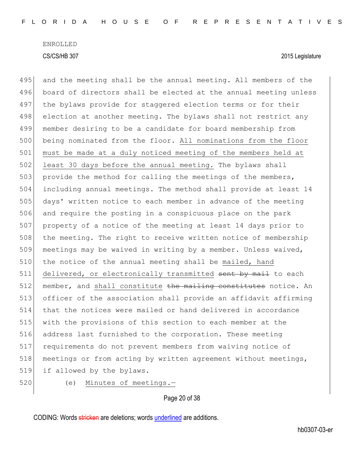495 and the meeting shall be the annual meeting. All members of the board of directors shall be elected at the annual meeting unless 497 the bylaws provide for staggered election terms or for their 498 election at another meeting. The bylaws shall not restrict any member desiring to be a candidate for board membership from being nominated from the floor. All nominations from the floor must be made at a duly noticed meeting of the members held at 502 least 30 days before the annual meeting. The bylaws shall 503 provide the method for calling the meetings of the members, including annual meetings. The method shall provide at least 14 days' written notice to each member in advance of the meeting and require the posting in a conspicuous place on the park property of a notice of the meeting at least 14 days prior to 508 the meeting. The right to receive written notice of membership meetings may be waived in writing by a member. Unless waived, 510 the notice of the annual meeting shall be mailed, hand 511 delivered, or electronically transmitted sent by mail to each member, and shall constitute the mailing constitutes notice. An officer of the association shall provide an affidavit affirming that the notices were mailed or hand delivered in accordance with the provisions of this section to each member at the address last furnished to the corporation. These meeting requirements do not prevent members from waiving notice of 518 meetings or from acting by written agreement without meetings, if allowed by the bylaws.

520 (e) Minutes of meetings.-

#### Page 20 of 38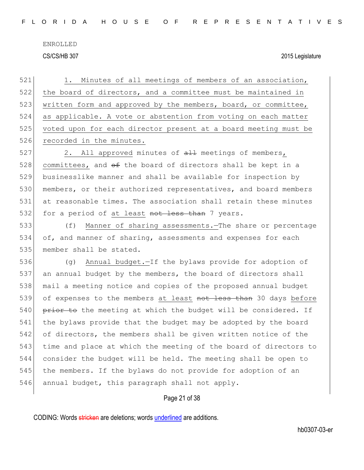521 1. Minutes of all meetings of members of an association, 522 the board of directors, and a committee must be maintained in 523 written form and approved by the members, board, or committee, 524 as applicable. A vote or abstention from voting on each matter 525 voted upon for each director present at a board meeting must be 526 recorded in the minutes.

 $527$  2. All approved minutes of  $\frac{11}{2}$  meetings of members, 528 committees, and  $\theta$  the board of directors shall be kept in a 529 businesslike manner and shall be available for inspection by 530 members, or their authorized representatives, and board members 531 at reasonable times. The association shall retain these minutes 532 for a period of at least not less than 7 years.

533 (f) Manner of sharing assessments.—The share or percentage 534 of, and manner of sharing, assessments and expenses for each 535 member shall be stated.

 (g) Annual budget.—If the bylaws provide for adoption of an annual budget by the members, the board of directors shall mail a meeting notice and copies of the proposed annual budget 539 of expenses to the members at least not less than 30 days before 540 prior to the meeting at which the budget will be considered. If the bylaws provide that the budget may be adopted by the board of directors, the members shall be given written notice of the time and place at which the meeting of the board of directors to consider the budget will be held. The meeting shall be open to the members. If the bylaws do not provide for adoption of an 546 annual budget, this paragraph shall not apply.

### Page 21 of 38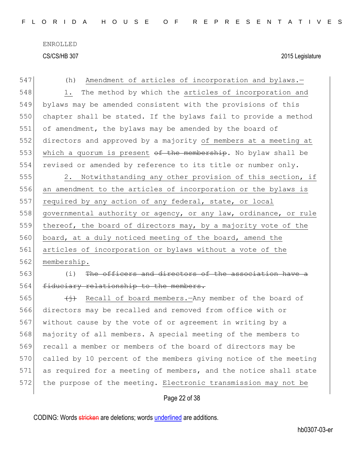| 547 | Amendment of articles of incorporation and bylaws.-<br>(h)               |
|-----|--------------------------------------------------------------------------|
| 548 | The method by which the articles of incorporation and<br>1.              |
| 549 | bylaws may be amended consistent with the provisions of this             |
| 550 | chapter shall be stated. If the bylaws fail to provide a method          |
| 551 | of amendment, the bylaws may be amended by the board of                  |
| 552 | directors and approved by a majority of members at a meeting at          |
| 553 | which a quorum is present of the membership. No bylaw shall be           |
| 554 | revised or amended by reference to its title or number only.             |
| 555 | Notwithstanding any other provision of this section, if<br>2.            |
| 556 | an amendment to the articles of incorporation or the bylaws is           |
| 557 | required by any action of any federal, state, or local                   |
| 558 | governmental authority or agency, or any law, ordinance, or rule         |
| 559 | thereof, the board of directors may, by a majority vote of the           |
| 560 | board, at a duly noticed meeting of the board, amend the                 |
| 561 | articles of incorporation or bylaws without a vote of the                |
| 562 | membership.                                                              |
| 563 | The officers and directors of the association have<br>(i)                |
| 564 | fiduciary relationship to the members.                                   |
| 565 | Recall of board members. Any member of the board of<br>$\leftrightarrow$ |
| 566 | directors may be recalled and removed from office with or                |
| 567 | without cause by the vote of or agreement in writing by a                |
| 568 | majority of all members. A special meeting of the members to             |
| 569 | recall a member or members of the board of directors may be              |
| 570 | called by 10 percent of the members giving notice of the meeting         |
| 571 | as required for a meeting of members, and the notice shall state         |
| 572 | the purpose of the meeting. Electronic transmission may not be           |
|     | Page 22 of 38                                                            |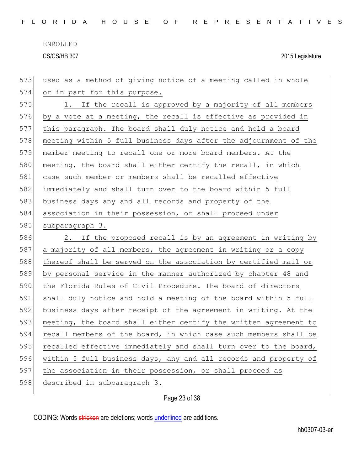| 573 | used as a method of giving notice of a meeting called in whole   |
|-----|------------------------------------------------------------------|
| 574 | or in part for this purpose.                                     |
| 575 | 1. If the recall is approved by a majority of all members        |
| 576 | by a vote at a meeting, the recall is effective as provided in   |
| 577 | this paragraph. The board shall duly notice and hold a board     |
| 578 | meeting within 5 full business days after the adjournment of the |
| 579 | member meeting to recall one or more board members. At the       |
| 580 | meeting, the board shall either certify the recall, in which     |
| 581 | case such member or members shall be recalled effective          |
| 582 | immediately and shall turn over to the board within 5 full       |
| 583 | business days any and all records and property of the            |
| 584 | association in their possession, or shall proceed under          |
| 585 | subparagraph 3.                                                  |
| 586 | 2. If the proposed recall is by an agreement in writing by       |
| 587 | a majority of all members, the agreement in writing or a copy    |
| 588 | thereof shall be served on the association by certified mail or  |
| 589 | by personal service in the manner authorized by chapter 48 and   |
| 590 | the Florida Rules of Civil Procedure. The board of directors     |
| 591 | shall duly notice and hold a meeting of the board within 5 full  |
| 592 | business days after receipt of the agreement in writing. At the  |
| 593 | meeting, the board shall either certify the written agreement to |
| 594 | recall members of the board, in which case such members shall be |
| 595 | recalled effective immediately and shall turn over to the board, |
| 596 | within 5 full business days, any and all records and property of |
| 597 | the association in their possession, or shall proceed as         |
| 598 | described in subparagraph 3.                                     |
|     |                                                                  |

# Page 23 of 38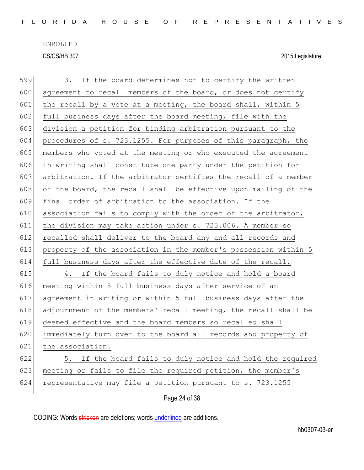| 599 | 3. If the board determines not to certify the written           |
|-----|-----------------------------------------------------------------|
| 600 | agreement to recall members of the board, or does not certify   |
| 601 | the recall by a vote at a meeting, the board shall, within 5    |
| 602 | full business days after the board meeting, file with the       |
| 603 | division a petition for binding arbitration pursuant to the     |
| 604 | procedures of s. 723.1255. For purposes of this paragraph, the  |
| 605 | members who voted at the meeting or who executed the agreement  |
| 606 | in writing shall constitute one party under the petition for    |
| 607 | arbitration. If the arbitrator certifies the recall of a member |
| 608 | of the board, the recall shall be effective upon mailing of the |
| 609 | final order of arbitration to the association. If the           |
| 610 | association fails to comply with the order of the arbitrator,   |
| 611 | the division may take action under s. 723.006. A member so      |
| 612 | recalled shall deliver to the board any and all records and     |
| 613 | property of the association in the member's possession within 5 |
| 614 | full business days after the effective date of the recall.      |
| 615 | 4. If the board fails to duly notice and hold a board           |
| 616 | meeting within 5 full business days after service of an         |
| 617 | agreement in writing or within 5 full business days after the   |
| 618 | adjournment of the members' recall meeting, the recall shall be |
| 619 | deemed effective and the board members so recalled shall        |
| 620 | immediately turn over to the board all records and property of  |
| 621 | the association.                                                |
| 622 | If the board fails to duly notice and hold the required<br>5.   |
| 623 | meeting or fails to file the required petition, the member's    |
| 624 | representative may file a petition pursuant to s. 723.1255      |
|     | Page 24 of 38                                                   |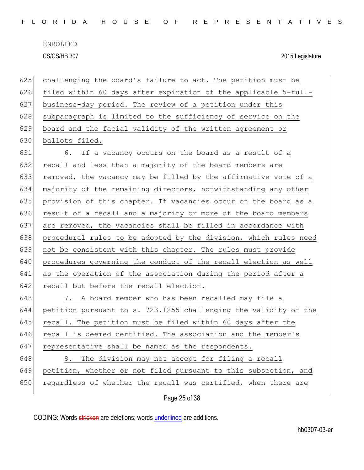| 625 | challenging the board's failure to act. The petition must be     |
|-----|------------------------------------------------------------------|
| 626 | filed within 60 days after expiration of the applicable 5-full-  |
| 627 | business-day period. The review of a petition under this         |
| 628 | subparagraph is limited to the sufficiency of service on the     |
| 629 | board and the facial validity of the written agreement or        |
| 630 | ballots filed.                                                   |
| 631 | 6. If a vacancy occurs on the board as a result of a             |
| 632 | recall and less than a majority of the board members are         |
| 633 | removed, the vacancy may be filled by the affirmative vote of a  |
| 634 | majority of the remaining directors, notwithstanding any other   |
| 635 | provision of this chapter. If vacancies occur on the board as a  |
| 636 | result of a recall and a majority or more of the board members   |
| 637 | are removed, the vacancies shall be filled in accordance with    |
| 638 | procedural rules to be adopted by the division, which rules need |
| 639 | not be consistent with this chapter. The rules must provide      |
| 640 | procedures governing the conduct of the recall election as well  |
| 641 | as the operation of the association during the period after a    |
| 642 | recall but before the recall election.                           |
| 643 | 7. A board member who has been recalled may file a               |
| 644 | petition pursuant to s. 723.1255 challenging the validity of the |
| 645 | recall. The petition must be filed within 60 days after the      |
| 646 | recall is deemed certified. The association and the member's     |
| 647 | representative shall be named as the respondents.                |
| 648 | The division may not accept for filing a recall<br>8.            |
| 649 | petition, whether or not filed pursuant to this subsection, and  |
| 650 | regardless of whether the recall was certified, when there are   |
|     | Page 25 of 38                                                    |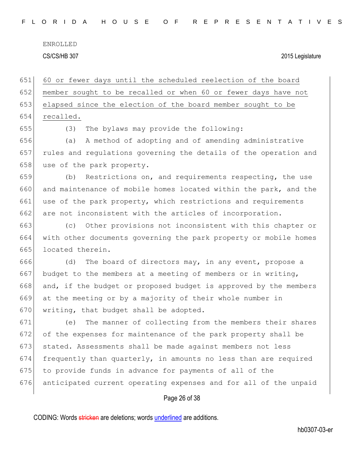|  |  |  |  |  |  | FLORIDA HOUSE OF REPRESENTATIVES |  |  |  |  |  |  |  |  |  |  |
|--|--|--|--|--|--|----------------------------------|--|--|--|--|--|--|--|--|--|--|
|  |  |  |  |  |  |                                  |  |  |  |  |  |  |  |  |  |  |

ENROLLED

CS/CS/HB 307 2015 Legislature

 60 or fewer days until the scheduled reelection of the board member sought to be recalled or when 60 or fewer days have not elapsed since the election of the board member sought to be recalled. (3) The bylaws may provide the following:

656 (a) A method of adopting and of amending administrative 657 rules and regulations governing the details of the operation and 658 use of the park property.

659 (b) Restrictions on, and requirements respecting, the use 660 and maintenance of mobile homes located within the park, and the 661 use of the park property, which restrictions and requirements 662 are not inconsistent with the articles of incorporation.

663 (c) Other provisions not inconsistent with this chapter or 664 with other documents governing the park property or mobile homes 665 located therein.

666 (d) The board of directors may, in any event, propose a 667 budget to the members at a meeting of members or in writing, 668 and, if the budget or proposed budget is approved by the members 669 at the meeting or by a majority of their whole number in 670 writing, that budget shall be adopted.

 (e) The manner of collecting from the members their shares of the expenses for maintenance of the park property shall be stated. Assessments shall be made against members not less frequently than quarterly, in amounts no less than are required 675 to provide funds in advance for payments of all of the anticipated current operating expenses and for all of the unpaid

### Page 26 of 38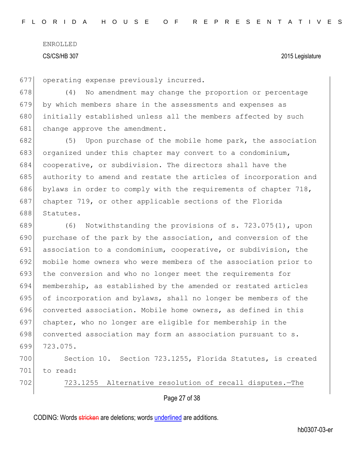677 operating expense previously incurred.

678 (4) No amendment may change the proportion or percentage 679 by which members share in the assessments and expenses as 680 initially established unless all the members affected by such 681 change approve the amendment.

 (5) Upon purchase of the mobile home park, the association organized under this chapter may convert to a condominium, cooperative, or subdivision. The directors shall have the 685 authority to amend and restate the articles of incorporation and bylaws in order to comply with the requirements of chapter 718, chapter 719, or other applicable sections of the Florida Statutes.

 (6) Notwithstanding the provisions of s. 723.075(1), upon purchase of the park by the association, and conversion of the association to a condominium, cooperative, or subdivision, the mobile home owners who were members of the association prior to 693 the conversion and who no longer meet the requirements for membership, as established by the amended or restated articles of incorporation and bylaws, shall no longer be members of the 696 converted association. Mobile home owners, as defined in this chapter, who no longer are eligible for membership in the 698 converted association may form an association pursuant to s. 699 723.075.

700 Section 10. Section 723.1255, Florida Statutes, is created 701 to read:

702 723.1255 Alternative resolution of recall disputes.-The

Page 27 of 38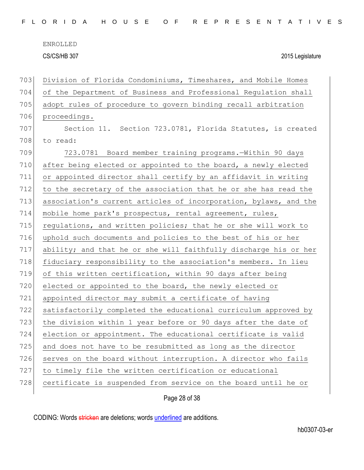|  |  |  | FLORIDA HOUSE OF REPRESENTATIVES |  |  |  |  |  |  |  |  |  |  |  |  |  |
|--|--|--|----------------------------------|--|--|--|--|--|--|--|--|--|--|--|--|--|
|  |  |  |                                  |  |  |  |  |  |  |  |  |  |  |  |  |  |

| 703 | Division of Florida Condominiums, Timeshares, and Mobile Homes   |
|-----|------------------------------------------------------------------|
| 704 | of the Department of Business and Professional Regulation shall  |
| 705 | adopt rules of procedure to govern binding recall arbitration    |
| 706 | proceedings.                                                     |
| 707 | Section 11. Section 723.0781, Florida Statutes, is created       |
| 708 | to read:                                                         |
| 709 | 723.0781 Board member training programs. Within 90 days          |
| 710 | after being elected or appointed to the board, a newly elected   |
| 711 | or appointed director shall certify by an affidavit in writing   |
| 712 | to the secretary of the association that he or she has read the  |
| 713 | association's current articles of incorporation, bylaws, and the |
| 714 | mobile home park's prospectus, rental agreement, rules,          |
| 715 | regulations, and written policies; that he or she will work to   |
| 716 | uphold such documents and policies to the best of his or her     |
| 717 | ability; and that he or she will faithfully discharge his or her |
| 718 | fiduciary responsibility to the association's members. In lieu   |
| 719 | of this written certification, within 90 days after being        |
| 720 | elected or appointed to the board, the newly elected or          |
| 721 | appointed director may submit a certificate of having            |
| 722 | satisfactorily completed the educational curriculum approved by  |
| 723 | the division within 1 year before or 90 days after the date of   |
| 724 | election or appointment. The educational certificate is valid    |
| 725 | and does not have to be resubmitted as long as the director      |
| 726 | serves on the board without interruption. A director who fails   |
| 727 | to timely file the written certification or educational          |
| 728 | certificate is suspended from service on the board until he or   |
|     | Page 28 of 38                                                    |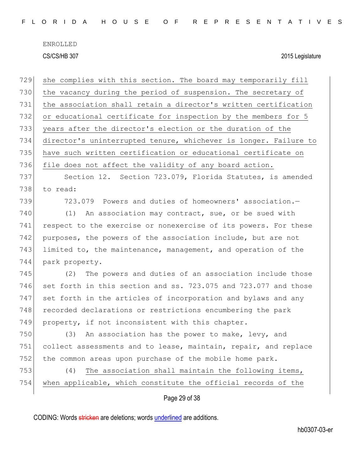| 729 | she complies with this section. The board may temporarily fill   |
|-----|------------------------------------------------------------------|
| 730 | the vacancy during the period of suspension. The secretary of    |
| 731 | the association shall retain a director's written certification  |
| 732 | or educational certificate for inspection by the members for 5   |
| 733 | years after the director's election or the duration of the       |
| 734 | director's uninterrupted tenure, whichever is longer. Failure to |
| 735 | have such written certification or educational certificate on    |
| 736 | file does not affect the validity of any board action.           |
| 737 | Section 12. Section 723.079, Florida Statutes, is amended        |
| 738 | to read:                                                         |
| 739 | 723.079 Powers and duties of homeowners' association.-           |
| 740 | (1)<br>An association may contract, sue, or be sued with         |
| 741 | respect to the exercise or nonexercise of its powers. For these  |
| 742 | purposes, the powers of the association include, but are not     |
| 743 | limited to, the maintenance, management, and operation of the    |
| 744 | park property.                                                   |
| 745 | The powers and duties of an association include those<br>(2)     |
| 746 | set forth in this section and ss. 723.075 and 723.077 and those  |
| 747 | set forth in the articles of incorporation and bylaws and any    |
| 748 | recorded declarations or restrictions encumbering the park       |
| 749 | property, if not inconsistent with this chapter.                 |
| 750 | An association has the power to make, levy, and<br>(3)           |
| 751 | collect assessments and to lease, maintain, repair, and replace  |
| 752 | the common areas upon purchase of the mobile home park.          |
| 753 | (4)<br>The association shall maintain the following items,       |
| 754 | when applicable, which constitute the official records of the    |
|     | Page 29 of 38                                                    |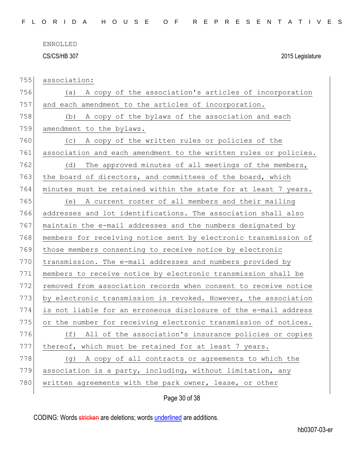755 association:

756 (a) A copy of the association's articles of incorporation 757 and each amendment to the articles of incorporation. 758 (b) A copy of the bylaws of the association and each 759 amendment to the bylaws. 760 (c) A copy of the written rules or policies of the 761 association and each amendment to the written rules or policies. 762 (d) The approved minutes of all meetings of the members, 763 the board of directors, and committees of the board, which 764 minutes must be retained within the state for at least 7 years. 765 (e) A current roster of all members and their mailing 766 addresses and lot identifications. The association shall also 767 maintain the e-mail addresses and the numbers designated by 768 members for receiving notice sent by electronic transmission of 769 those members consenting to receive notice by electronic 770 transmission. The e-mail addresses and numbers provided by 771 members to receive notice by electronic transmission shall be 772 removed from association records when consent to receive notice 773 by electronic transmission is revoked. However, the association 774 is not liable for an erroneous disclosure of the e-mail address 775 or the number for receiving electronic transmission of notices. 776 (f) All of the association's insurance policies or copies 777 thereof, which must be retained for at least 7 years. 778 (g) A copy of all contracts or agreements to which the 779 association is a party, including, without limitation, any 780 written agreements with the park owner, lease, or other

Page 30 of 38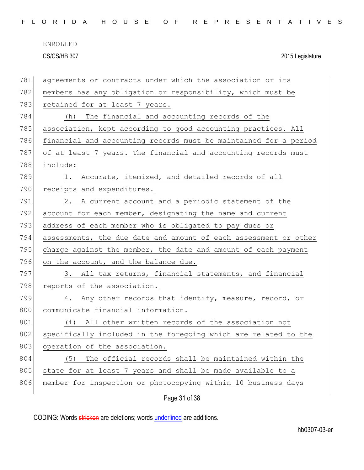|  |  |  |  |  |  | FLORIDA HOUSE OF REPRESENTATIVES |  |  |  |  |  |  |  |  |  |  |  |
|--|--|--|--|--|--|----------------------------------|--|--|--|--|--|--|--|--|--|--|--|
|  |  |  |  |  |  |                                  |  |  |  |  |  |  |  |  |  |  |  |

| 781 | agreements or contracts under which the association or its       |
|-----|------------------------------------------------------------------|
| 782 | members has any obligation or responsibility, which must be      |
| 783 | retained for at least 7 years.                                   |
| 784 | The financial and accounting records of the<br>(h)               |
| 785 | association, kept according to good accounting practices. All    |
| 786 | financial and accounting records must be maintained for a period |
| 787 | of at least 7 years. The financial and accounting records must   |
| 788 | include:                                                         |
| 789 | 1. Accurate, itemized, and detailed records of all               |
| 790 | receipts and expenditures.                                       |
| 791 | 2. A current account and a periodic statement of the             |
| 792 | account for each member, designating the name and current        |
| 793 | address of each member who is obligated to pay dues or           |
| 794 | assessments, the due date and amount of each assessment or other |
| 795 | charge against the member, the date and amount of each payment   |
| 796 | on the account, and the balance due.                             |
| 797 | 3. All tax returns, financial statements, and financial          |
| 798 | reports of the association.                                      |
| 799 | 4. Any other records that identify, measure, record, or          |
| 800 | communicate financial information.                               |
| 801 | (i) All other written records of the association not             |
| 802 | specifically included in the foregoing which are related to the  |
| 803 | operation of the association.                                    |
| 804 | The official records shall be maintained within the<br>(5)       |
| 805 | state for at least 7 years and shall be made available to a      |
| 806 | member for inspection or photocopying within 10 business days    |
|     | Page 31 of 38                                                    |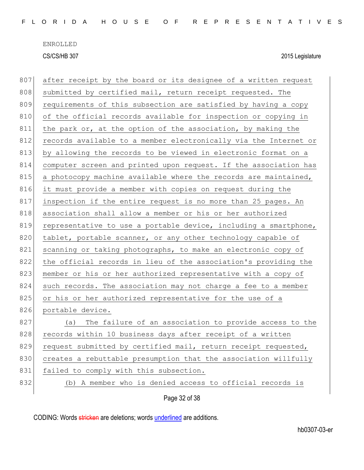| 807 | after receipt by the board or its designee of a written request  |
|-----|------------------------------------------------------------------|
| 808 | submitted by certified mail, return receipt requested. The       |
| 809 | requirements of this subsection are satisfied by having a copy   |
| 810 | of the official records available for inspection or copying in   |
| 811 | the park or, at the option of the association, by making the     |
| 812 | records available to a member electronically via the Internet or |
| 813 | by allowing the records to be viewed in electronic format on a   |
| 814 | computer screen and printed upon request. If the association has |
| 815 | a photocopy machine available where the records are maintained,  |
| 816 | it must provide a member with copies on request during the       |
| 817 | inspection if the entire request is no more than 25 pages. An    |
| 818 | association shall allow a member or his or her authorized        |
| 819 | representative to use a portable device, including a smartphone, |
| 820 | tablet, portable scanner, or any other technology capable of     |
| 821 | scanning or taking photographs, to make an electronic copy of    |
| 822 | the official records in lieu of the association's providing the  |
| 823 | member or his or her authorized representative with a copy of    |
| 824 | such records. The association may not charge a fee to a member   |
| 825 | or his or her authorized representative for the use of a         |
| 826 | portable device.                                                 |
| 827 | (a) The failure of an association to provide access to the       |
| 828 | records within 10 business days after receipt of a written       |
| 829 | request submitted by certified mail, return receipt requested,   |
| 830 | creates a rebuttable presumption that the association willfully  |
| 831 | failed to comply with this subsection.                           |
| 832 | (b) A member who is denied access to official records is         |
|     | Page 32 of 38                                                    |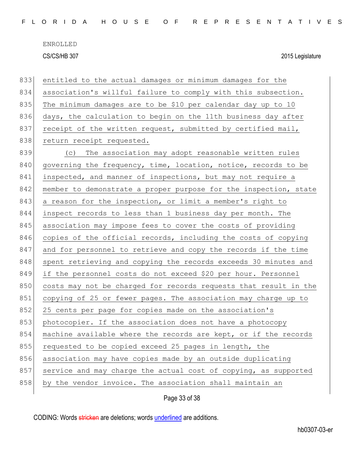| FLORIDA HOUSE OF REPRESENTATIVES |  |  |  |  |  |  |  |  |  |  |  |  |  |  |  |  |  |  |  |  |  |  |  |  |  |  |  |  |  |  |  |  |  |  |
|----------------------------------|--|--|--|--|--|--|--|--|--|--|--|--|--|--|--|--|--|--|--|--|--|--|--|--|--|--|--|--|--|--|--|--|--|--|
|----------------------------------|--|--|--|--|--|--|--|--|--|--|--|--|--|--|--|--|--|--|--|--|--|--|--|--|--|--|--|--|--|--|--|--|--|--|

| 833 | entitled to the actual damages or minimum damages for the        |
|-----|------------------------------------------------------------------|
| 834 | association's willful failure to comply with this subsection.    |
| 835 | The minimum damages are to be \$10 per calendar day up to 10     |
| 836 | days, the calculation to begin on the 11th business day after    |
| 837 | receipt of the written request, submitted by certified mail,     |
| 838 | return receipt requested.                                        |
| 839 | The association may adopt reasonable written rules<br>(C)        |
| 840 | governing the frequency, time, location, notice, records to be   |
| 841 | inspected, and manner of inspections, but may not require a      |
| 842 | member to demonstrate a proper purpose for the inspection, state |
| 843 | a reason for the inspection, or limit a member's right to        |
| 844 | inspect records to less than 1 business day per month. The       |
| 845 | association may impose fees to cover the costs of providing      |
| 846 | copies of the official records, including the costs of copying   |
| 847 | and for personnel to retrieve and copy the records if the time   |
| 848 | spent retrieving and copying the records exceeds 30 minutes and  |
| 849 | if the personnel costs do not exceed \$20 per hour. Personnel    |
| 850 | costs may not be charged for records requests that result in the |
| 851 | copying of 25 or fewer pages. The association may charge up to   |
| 852 | 25 cents per page for copies made on the association's           |
| 853 | photocopier. If the association does not have a photocopy        |
| 854 | machine available where the records are kept, or if the records  |
| 855 | requested to be copied exceed 25 pages in length, the            |
| 856 | association may have copies made by an outside duplicating       |
| 857 | service and may charge the actual cost of copying, as supported  |
| 858 | by the vendor invoice. The association shall maintain an         |
|     |                                                                  |

Page 33 of 38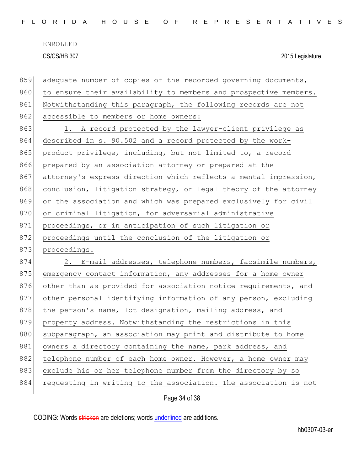|  |  |  |  |  |  | FLORIDA HOUSE OF REPRESENTATIVES |  |  |  |  |  |  |  |  |
|--|--|--|--|--|--|----------------------------------|--|--|--|--|--|--|--|--|
|  |  |  |  |  |  |                                  |  |  |  |  |  |  |  |  |

| 859 | adequate number of copies of the recorded governing documents,   |
|-----|------------------------------------------------------------------|
| 860 | to ensure their availability to members and prospective members. |
| 861 | Notwithstanding this paragraph, the following records are not    |
| 862 | accessible to members or home owners:                            |
| 863 | 1. A record protected by the lawyer-client privilege as          |
| 864 | described in s. 90.502 and a record protected by the work-       |
| 865 | product privilege, including, but not limited to, a record       |
| 866 | prepared by an association attorney or prepared at the           |
| 867 | attorney's express direction which reflects a mental impression, |
| 868 | conclusion, litigation strategy, or legal theory of the attorney |
| 869 | or the association and which was prepared exclusively for civil  |
| 870 | or criminal litigation, for adversarial administrative           |
| 871 | proceedings, or in anticipation of such litigation or            |
| 872 | proceedings until the conclusion of the litigation or            |
| 873 | proceedings.                                                     |
| 874 | 2. E-mail addresses, telephone numbers, facsimile numbers,       |
| 875 | emergency contact information, any addresses for a home owner    |
| 876 | other than as provided for association notice requirements, and  |
| 877 | other personal identifying information of any person, excluding  |
| 878 | the person's name, lot designation, mailing address, and         |
| 879 | property address. Notwithstanding the restrictions in this       |
| 880 | subparagraph, an association may print and distribute to home    |
| 881 | owners a directory containing the name, park address, and        |
| 882 | telephone number of each home owner. However, a home owner may   |
| 883 | exclude his or her telephone number from the directory by so     |
| 884 | requesting in writing to the association. The association is not |

Page 34 of 38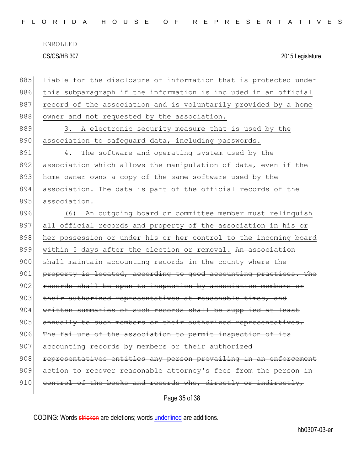| FLORIDA HOUSE OF REPRESENTATIVES |  |  |  |  |  |  |  |  |  |  |  |  |  |  |  |  |  |  |  |  |  |  |  |  |  |  |  |  |  |  |  |
|----------------------------------|--|--|--|--|--|--|--|--|--|--|--|--|--|--|--|--|--|--|--|--|--|--|--|--|--|--|--|--|--|--|--|
|----------------------------------|--|--|--|--|--|--|--|--|--|--|--|--|--|--|--|--|--|--|--|--|--|--|--|--|--|--|--|--|--|--|--|

| 885 | liable for the disclosure of information that is protected under |
|-----|------------------------------------------------------------------|
| 886 | this subparagraph if the information is included in an official  |
| 887 | record of the association and is voluntarily provided by a home  |
| 888 | owner and not requested by the association.                      |
| 889 | A electronic security measure that is used by the<br>3.          |
| 890 | association to safeguard data, including passwords.              |
| 891 | The software and operating system used by the<br>4.              |
| 892 | association which allows the manipulation of data, even if the   |
| 893 | home owner owns a copy of the same software used by the          |
| 894 | association. The data is part of the official records of the     |
| 895 | association.                                                     |
| 896 | An outgoing board or committee member must relinquish<br>(6)     |
| 897 | all official records and property of the association in his or   |
| 898 | her possession or under his or her control to the incoming board |
| 899 | within 5 days after the election or removal. An association      |
| 900 | shall maintain accounting records in the county where the        |
| 901 | property is located, according to good accounting practices. The |
| 902 | records shall be open to inspection by association members or    |
| 903 | their authorized representatives at reasonable times, and        |
| 904 | written summaries of such records shall be supplied at least     |
| 905 | annually to such members or their authorized representatives.    |
| 906 | The failure of the association to permit inspection of its       |
| 907 | accounting records by members or their authorized                |
| 908 | representatives entitles any person prevailing in an enforcement |
| 909 | action to recover reasonable attorney's fees from the person in  |
| 910 | control of the books and records who, directly or indirectly,    |
|     | Page 35 of 38                                                    |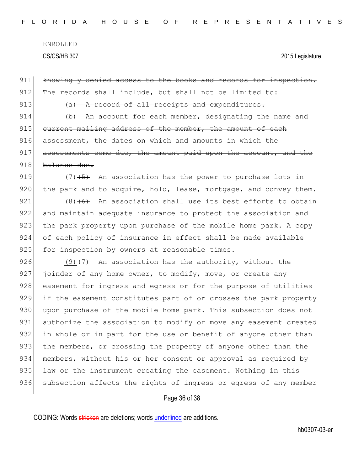911 knowingly denied access to the books and records for inspection.  $912$  The records shall include, but shall not be limited to: 913  $(a)$  A record of all receipts and expenditures.  $914$  (b) An account for each member, designating the name and 915 current mailing address of the member, the amount of each 916 assessment, the dates on which and amounts in which the  $917$  assessments come due, the amount paid upon the account, and the 918 balance due. 919  $(7)$   $(5)$  An association has the power to purchase lots in  $920$  the park and to acquire, hold, lease, mortgage, and convey them. 921  $(8)$  (6) An association shall use its best efforts to obtain 922 and maintain adequate insurance to protect the association and 923 the park property upon purchase of the mobile home park. A copy 924 of each policy of insurance in effect shall be made available 925 for inspection by owners at reasonable times. 926 (9) $\left(7\right)$  An association has the authority, without the 927 joinder of any home owner, to modify, move, or create any 928 easement for ingress and egress or for the purpose of utilities 929 if the easement constitutes part of or crosses the park property 930 | upon purchase of the mobile home park. This subsection does not 931 authorize the association to modify or move any easement created 932 in whole or in part for the use or benefit of anyone other than 933 the members, or crossing the property of anyone other than the 934 members, without his or her consent or approval as required by 935 law or the instrument creating the easement. Nothing in this 936 subsection affects the rights of ingress or egress of any member

### Page 36 of 38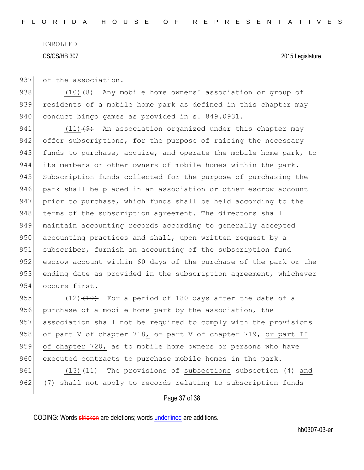937 of the association.

938  $(10)$   $(8)$  Any mobile home owners' association or group of 939 residents of a mobile home park as defined in this chapter may 940 conduct bingo games as provided in s. 849.0931.

941 (11) $(9)$  An association organized under this chapter may 942 offer subscriptions, for the purpose of raising the necessary 943 funds to purchase, acquire, and operate the mobile home park, to 944 its members or other owners of mobile homes within the park. 945 Subscription funds collected for the purpose of purchasing the 946 park shall be placed in an association or other escrow account 947 prior to purchase, which funds shall be held according to the 948 terms of the subscription agreement. The directors shall 949 maintain accounting records according to generally accepted 950 accounting practices and shall, upon written request by a 951 subscriber, furnish an accounting of the subscription fund 952 escrow account within 60 days of the purchase of the park or the 953 ending date as provided in the subscription agreement, whichever 954 occurs first.

955  $(12)$   $(140)$  For a period of 180 days after the date of a 956 purchase of a mobile home park by the association, the 957 association shall not be required to comply with the provisions 958 of part V of chapter 718,  $\theta$ r part V of chapter 719, or part II 959 of chapter 720, as to mobile home owners or persons who have 960 executed contracts to purchase mobile homes in the park.

961 (13)<del>(11)</del> The provisions of subsections <del>subsection</del> (4) and 962 (7) shall not apply to records relating to subscription funds

### Page 37 of 38